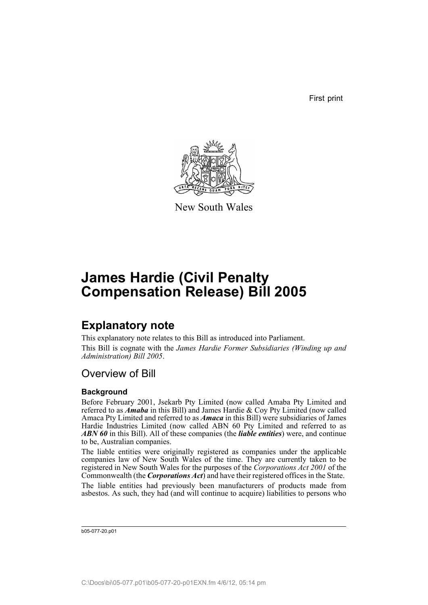First print



New South Wales

# **James Hardie (Civil Penalty Compensation Release) Bill 2005**

## **Explanatory note**

This explanatory note relates to this Bill as introduced into Parliament. This Bill is cognate with the *James Hardie Former Subsidiaries (Winding up and Administration) Bill 2005*.

## Overview of Bill

### **Background**

Before February 2001, Jsekarb Pty Limited (now called Amaba Pty Limited and referred to as *Amaba* in this Bill) and James Hardie & Coy Pty Limited (now called Amaca Pty Limited and referred to as *Amaca* in this Bill) were subsidiaries of James Hardie Industries Limited (now called ABN 60 Pty Limited and referred to as *ABN 60* in this Bill). All of these companies (the *liable entities*) were, and continue to be, Australian companies.

The liable entities were originally registered as companies under the applicable companies law of New South Wales of the time. They are currently taken to be registered in New South Wales for the purposes of the *Corporations Act 2001* of the Commonwealth (the *Corporations Act*) and have their registered offices in the State.

The liable entities had previously been manufacturers of products made from asbestos. As such, they had (and will continue to acquire) liabilities to persons who

b05-077-20.p01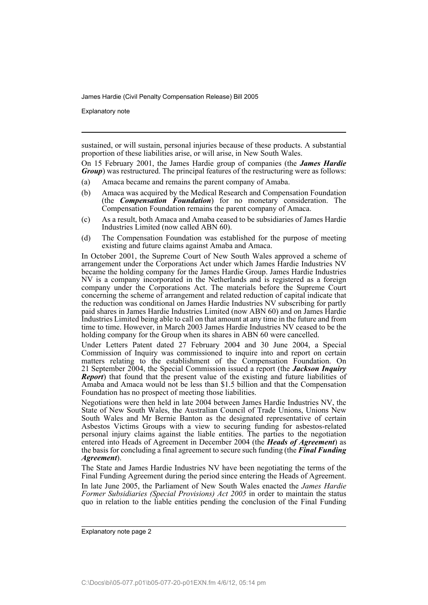Explanatory note

sustained, or will sustain, personal injuries because of these products. A substantial proportion of these liabilities arise, or will arise, in New South Wales.

On 15 February 2001, the James Hardie group of companies (the *James Hardie Group*) was restructured. The principal features of the restructuring were as follows:

- (a) Amaca became and remains the parent company of Amaba.
- (b) Amaca was acquired by the Medical Research and Compensation Foundation (the *Compensation Foundation*) for no monetary consideration. The Compensation Foundation remains the parent company of Amaca.
- (c) As a result, both Amaca and Amaba ceased to be subsidiaries of James Hardie Industries Limited (now called ABN 60).
- (d) The Compensation Foundation was established for the purpose of meeting existing and future claims against Amaba and Amaca.

In October 2001, the Supreme Court of New South Wales approved a scheme of arrangement under the Corporations Act under which James Hardie Industries NV became the holding company for the James Hardie Group. James Hardie Industries NV is a company incorporated in the Netherlands and is registered as a foreign company under the Corporations Act. The materials before the Supreme Court concerning the scheme of arrangement and related reduction of capital indicate that the reduction was conditional on James Hardie Industries NV subscribing for partly paid shares in James Hardie Industries Limited (now ABN 60) and on James Hardie Industries Limited being able to call on that amount at any time in the future and from time to time. However, in March 2003 James Hardie Industries NV ceased to be the holding company for the Group when its shares in ABN 60 were cancelled.

Under Letters Patent dated 27 February 2004 and 30 June 2004, a Special Commission of Inquiry was commissioned to inquire into and report on certain matters relating to the establishment of the Compensation Foundation. On 21 September 2004, the Special Commission issued a report (the *Jackson Inquiry Report*) that found that the present value of the existing and future liabilities of Amaba and Amaca would not be less than \$1.5 billion and that the Compensation Foundation has no prospect of meeting those liabilities.

Negotiations were then held in late 2004 between James Hardie Industries NV, the State of New South Wales, the Australian Council of Trade Unions, Unions New South Wales and Mr Bernie Banton as the designated representative of certain Asbestos Victims Groups with a view to securing funding for asbestos-related personal injury claims against the liable entities. The parties to the negotiation entered into Heads of Agreement in December 2004 (the *Heads of Agreement*) as the basis for concluding a final agreement to secure such funding (the *Final Funding Agreement*).

The State and James Hardie Industries NV have been negotiating the terms of the Final Funding Agreement during the period since entering the Heads of Agreement.

In late June 2005, the Parliament of New South Wales enacted the *James Hardie Former Subsidiaries (Special Provisions) Act 2005* in order to maintain the status quo in relation to the liable entities pending the conclusion of the Final Funding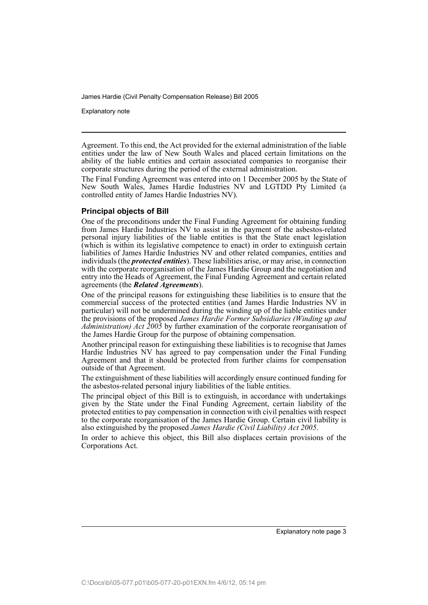Explanatory note

Agreement. To this end, the Act provided for the external administration of the liable entities under the law of New South Wales and placed certain limitations on the ability of the liable entities and certain associated companies to reorganise their corporate structures during the period of the external administration.

The Final Funding Agreement was entered into on 1 December 2005 by the State of New South Wales, James Hardie Industries NV and LGTDD Pty Limited (a controlled entity of James Hardie Industries NV).

### **Principal objects of Bill**

One of the preconditions under the Final Funding Agreement for obtaining funding from James Hardie Industries NV to assist in the payment of the asbestos-related personal injury liabilities of the liable entities is that the State enact legislation (which is within its legislative competence to enact) in order to extinguish certain liabilities of James Hardie Industries NV and other related companies, entities and individuals (the *protected entities*). These liabilities arise, or may arise, in connection with the corporate reorganisation of the James Hardie Group and the negotiation and entry into the Heads of Agreement, the Final Funding Agreement and certain related agreements (the *Related Agreements*).

One of the principal reasons for extinguishing these liabilities is to ensure that the commercial success of the protected entities (and James Hardie Industries NV in particular) will not be undermined during the winding up of the liable entities under the provisions of the proposed *James Hardie Former Subsidiaries (Winding up and Administration) Act 2005* by further examination of the corporate reorganisation of the James Hardie Group for the purpose of obtaining compensation.

Another principal reason for extinguishing these liabilities is to recognise that James Hardie Industries NV has agreed to pay compensation under the Final Funding Agreement and that it should be protected from further claims for compensation outside of that Agreement.

The extinguishment of these liabilities will accordingly ensure continued funding for the asbestos-related personal injury liabilities of the liable entities.

The principal object of this Bill is to extinguish, in accordance with undertakings given by the State under the Final Funding Agreement, certain liability of the protected entities to pay compensation in connection with civil penalties with respect to the corporate reorganisation of the James Hardie Group. Certain civil liability is also extinguished by the proposed *James Hardie (Civil Liability) Act 2005*.

In order to achieve this object, this Bill also displaces certain provisions of the Corporations Act.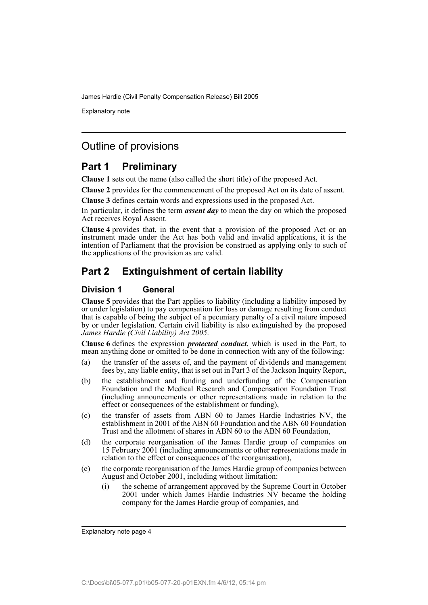Explanatory note

## Outline of provisions

## **Part 1 Preliminary**

**Clause 1** sets out the name (also called the short title) of the proposed Act.

**Clause 2** provides for the commencement of the proposed Act on its date of assent.

**Clause 3** defines certain words and expressions used in the proposed Act.

In particular, it defines the term *assent day* to mean the day on which the proposed Act receives Royal Assent.

**Clause 4** provides that, in the event that a provision of the proposed Act or an instrument made under the Act has both valid and invalid applications, it is the intention of Parliament that the provision be construed as applying only to such of the applications of the provision as are valid.

## **Part 2 Extinguishment of certain liability**

### **Division 1 General**

**Clause 5** provides that the Part applies to liability (including a liability imposed by or under legislation) to pay compensation for loss or damage resulting from conduct that is capable of being the subject of a pecuniary penalty of a civil nature imposed by or under legislation. Certain civil liability is also extinguished by the proposed *James Hardie (Civil Liability) Act 2005*.

**Clause 6** defines the expression *protected conduct*, which is used in the Part, to mean anything done or omitted to be done in connection with any of the following:

- (a) the transfer of the assets of, and the payment of dividends and management fees by, any liable entity, that is set out in Part 3 of the Jackson Inquiry Report,
- (b) the establishment and funding and underfunding of the Compensation Foundation and the Medical Research and Compensation Foundation Trust (including announcements or other representations made in relation to the effect or consequences of the establishment or funding),
- (c) the transfer of assets from ABN 60 to James Hardie Industries NV, the establishment in 2001 of the ABN 60 Foundation and the ABN 60 Foundation Trust and the allotment of shares in ABN 60 to the ABN 60 Foundation,
- (d) the corporate reorganisation of the James Hardie group of companies on 15 February 2001 (including announcements or other representations made in relation to the effect or consequences of the reorganisation),
- (e) the corporate reorganisation of the James Hardie group of companies between August and October 2001, including without limitation:
	- (i) the scheme of arrangement approved by the Supreme Court in October 2001 under which James Hardie Industries NV became the holding company for the James Hardie group of companies, and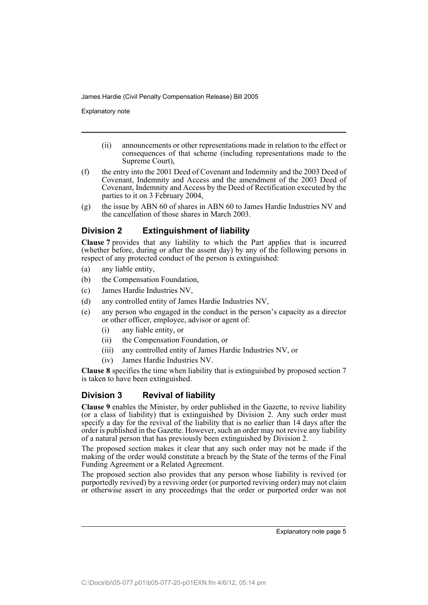Explanatory note

- (ii) announcements or other representations made in relation to the effect or consequences of that scheme (including representations made to the Supreme Court),
- (f) the entry into the 2001 Deed of Covenant and Indemnity and the 2003 Deed of Covenant, Indemnity and Access and the amendment of the 2003 Deed of Covenant, Indemnity and Access by the Deed of Rectification executed by the parties to it on 3 February 2004,
- (g) the issue by ABN 60 of shares in ABN 60 to James Hardie Industries NV and the cancellation of those shares in March 2003.

### **Division 2 Extinguishment of liability**

**Clause 7** provides that any liability to which the Part applies that is incurred (whether before, during or after the assent day) by any of the following persons in respect of any protected conduct of the person is extinguished:

- (a) any liable entity,
- (b) the Compensation Foundation,
- (c) James Hardie Industries NV,
- (d) any controlled entity of James Hardie Industries NV,
- (e) any person who engaged in the conduct in the person's capacity as a director or other officer, employee, advisor or agent of:
	- (i) any liable entity, or
	- (ii) the Compensation Foundation, or
	- (iii) any controlled entity of James Hardie Industries NV, or
	- (iv) James Hardie Industries NV.

**Clause 8** specifies the time when liability that is extinguished by proposed section 7 is taken to have been extinguished.

### **Division 3 Revival of liability**

**Clause 9** enables the Minister, by order published in the Gazette, to revive liability (or a class of liability) that is extinguished by Division 2. Any such order must specify a day for the revival of the liability that is no earlier than 14 days after the order is published in the Gazette. However, such an order may not revive any liability of a natural person that has previously been extinguished by Division 2.

The proposed section makes it clear that any such order may not be made if the making of the order would constitute a breach by the State of the terms of the Final Funding Agreement or a Related Agreement.

The proposed section also provides that any person whose liability is revived (or purportedly revived) by a reviving order (or purported reviving order) may not claim or otherwise assert in any proceedings that the order or purported order was not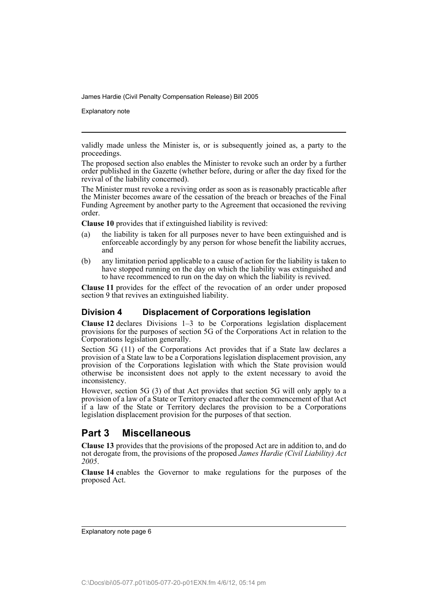Explanatory note

validly made unless the Minister is, or is subsequently joined as, a party to the proceedings.

The proposed section also enables the Minister to revoke such an order by a further order published in the Gazette (whether before, during or after the day fixed for the revival of the liability concerned).

The Minister must revoke a reviving order as soon as is reasonably practicable after the Minister becomes aware of the cessation of the breach or breaches of the Final Funding Agreement by another party to the Agreement that occasioned the reviving order.

**Clause 10** provides that if extinguished liability is revived:

- (a) the liability is taken for all purposes never to have been extinguished and is enforceable accordingly by any person for whose benefit the liability accrues, and
- (b) any limitation period applicable to a cause of action for the liability is taken to have stopped running on the day on which the liability was extinguished and to have recommenced to run on the day on which the liability is revived.

**Clause 11** provides for the effect of the revocation of an order under proposed section 9 that revives an extinguished liability.

### **Division 4 Displacement of Corporations legislation**

**Clause 12** declares Divisions 1–3 to be Corporations legislation displacement provisions for the purposes of section 5G of the Corporations Act in relation to the Corporations legislation generally.

Section 5G (11) of the Corporations Act provides that if a State law declares a provision of a State law to be a Corporations legislation displacement provision, any provision of the Corporations legislation with which the State provision would otherwise be inconsistent does not apply to the extent necessary to avoid the inconsistency.

However, section 5G (3) of that Act provides that section 5G will only apply to a provision of a law of a State or Territory enacted after the commencement of that Act if a law of the State or Territory declares the provision to be a Corporations legislation displacement provision for the purposes of that section.

## **Part 3 Miscellaneous**

**Clause 13** provides that the provisions of the proposed Act are in addition to, and do not derogate from, the provisions of the proposed *James Hardie (Civil Liability) Act 2005*.

**Clause 14** enables the Governor to make regulations for the purposes of the proposed Act.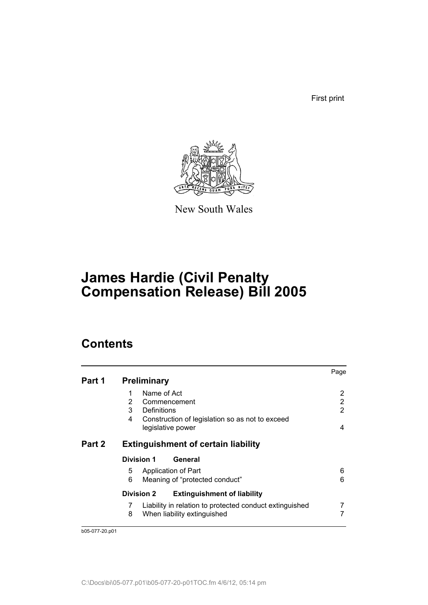First print



New South Wales

# **James Hardie (Civil Penalty Compensation Release) Bill 2005**

## **Contents**

|        |                                                              | Page |
|--------|--------------------------------------------------------------|------|
| Part 1 | <b>Preliminary</b>                                           |      |
|        | Name of Act                                                  | 2    |
|        | 2<br>Commencement                                            | 2    |
|        | 3<br>Definitions                                             | 2    |
|        | Construction of legislation so as not to exceed<br>4         |      |
|        | legislative power                                            | 4    |
| Part 2 | <b>Extinguishment of certain liability</b>                   |      |
|        | <b>Division 1</b><br>General                                 |      |
|        | 5<br>Application of Part                                     | 6    |
|        | 6<br>Meaning of "protected conduct"                          | 6    |
|        | <b>Division 2</b><br><b>Extinguishment of liability</b>      |      |
|        | Liability in relation to protected conduct extinguished<br>7 |      |
|        | 8<br>When liability extinguished                             |      |
|        |                                                              |      |

b05-077-20.p01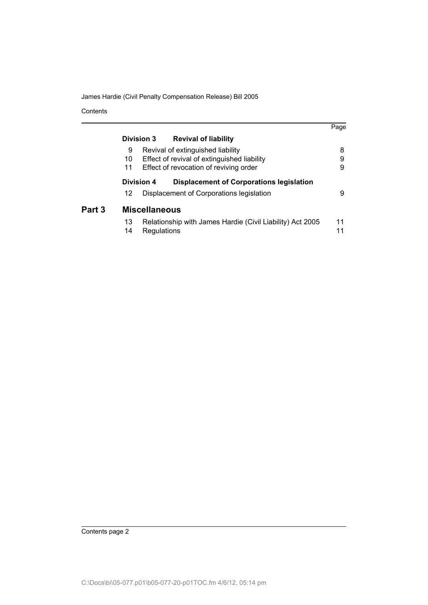Contents

|        |    |                      |                                                           | Page |
|--------|----|----------------------|-----------------------------------------------------------|------|
|        |    | Division 3           | <b>Revival of liability</b>                               |      |
|        | 9  |                      | Revival of extinguished liability                         | 8    |
|        | 10 |                      | Effect of revival of extinguished liability               | 9    |
|        | 11 |                      | Effect of revocation of reviving order                    | 9    |
|        |    | Division 4           | <b>Displacement of Corporations legislation</b>           |      |
|        | 12 |                      | Displacement of Corporations legislation                  | 9    |
| Part 3 |    | <b>Miscellaneous</b> |                                                           |      |
|        | 13 |                      | Relationship with James Hardie (Civil Liability) Act 2005 | 11   |
|        | 14 | Regulations          |                                                           | 11   |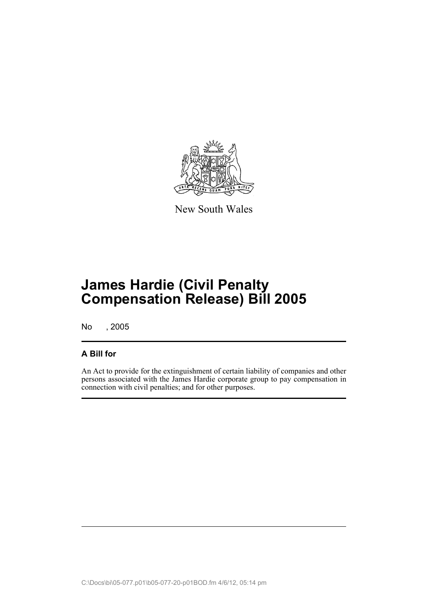

New South Wales

# **James Hardie (Civil Penalty Compensation Release) Bill 2005**

No , 2005

## **A Bill for**

An Act to provide for the extinguishment of certain liability of companies and other persons associated with the James Hardie corporate group to pay compensation in connection with civil penalties; and for other purposes.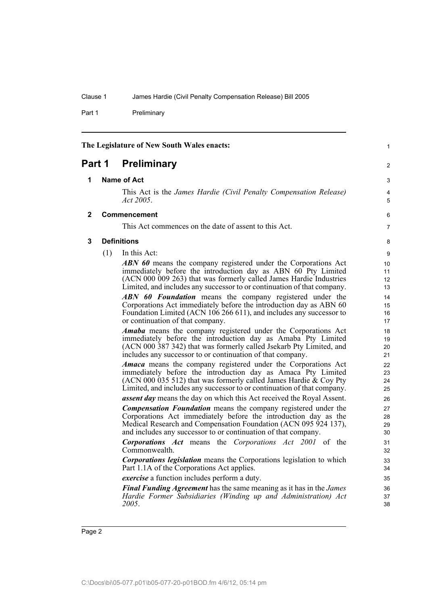Part 1 Preliminary

<span id="page-9-0"></span>

<span id="page-9-1"></span>

| Part 1 | <b>Preliminary</b> |  |
|--------|--------------------|--|
|        |                    |  |

#### **1 Name of Act**

This Act is the *James Hardie (Civil Penalty Compensation Release) Act 2005*.

#### <span id="page-9-2"></span>**2 Commencement**

This Act commences on the date of assent to this Act.

<span id="page-9-3"></span>**3 Definitions**

(1) In this Act:

*ABN 60* means the company registered under the Corporations Act immediately before the introduction day as ABN 60 Pty Limited (ACN 000 009 263) that was formerly called James Hardie Industries Limited, and includes any successor to or continuation of that company.

*ABN 60 Foundation* means the company registered under the Corporations Act immediately before the introduction day as ABN 60 Foundation Limited (ACN 106 266 611), and includes any successor to or continuation of that company.

*Amaba* means the company registered under the Corporations Act immediately before the introduction day as Amaba Pty Limited (ACN 000 387 342) that was formerly called Jsekarb Pty Limited, and includes any successor to or continuation of that company.

*Amaca* means the company registered under the Corporations Act immediately before the introduction day as Amaca Pty Limited (ACN 000 035 512) that was formerly called James Hardie & Coy Pty Limited, and includes any successor to or continuation of that company.

*assent day* means the day on which this Act received the Royal Assent.

*Compensation Foundation* means the company registered under the Corporations Act immediately before the introduction day as the Medical Research and Compensation Foundation (ACN 095 924 137), and includes any successor to or continuation of that company.

*Corporations Act* means the *Corporations Act 2001* of the Commonwealth.

*Corporations legislation* means the Corporations legislation to which Part 1.1A of the Corporations Act applies.

*exercise* a function includes perform a duty.

*Final Funding Agreement* has the same meaning as it has in the *James Hardie Former Subsidiaries (Winding up and Administration) Act 2005*.

8

1

2

3 4 5

6 7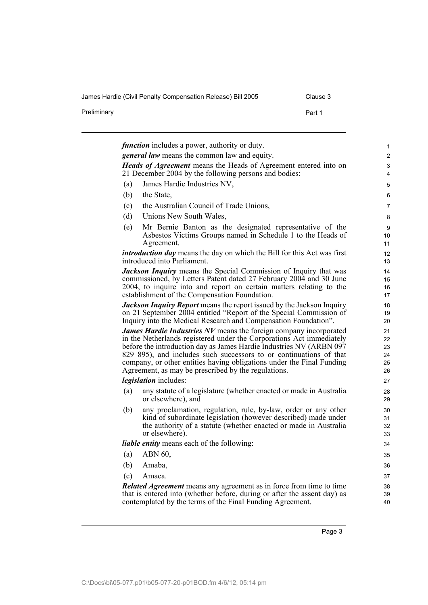Preliminary **Preliminary** Part 1

| .lause |  |
|--------|--|
|        |  |

|     | <i>general law</i> means the common law and equity.                                                                                                                                                                                                                                                                                                                                                                            |  |
|-----|--------------------------------------------------------------------------------------------------------------------------------------------------------------------------------------------------------------------------------------------------------------------------------------------------------------------------------------------------------------------------------------------------------------------------------|--|
|     | <b>Heads of Agreement</b> means the Heads of Agreement entered into on<br>21 December 2004 by the following persons and bodies:                                                                                                                                                                                                                                                                                                |  |
| (a) | James Hardie Industries NV,                                                                                                                                                                                                                                                                                                                                                                                                    |  |
| (b) | the State,                                                                                                                                                                                                                                                                                                                                                                                                                     |  |
| (c) | the Australian Council of Trade Unions,                                                                                                                                                                                                                                                                                                                                                                                        |  |
| (d) | Unions New South Wales,                                                                                                                                                                                                                                                                                                                                                                                                        |  |
| (e) | Mr Bernie Banton as the designated representative of the<br>Asbestos Victims Groups named in Schedule 1 to the Heads of<br>Agreement.                                                                                                                                                                                                                                                                                          |  |
|     | <i>introduction day</i> means the day on which the Bill for this Act was first<br>introduced into Parliament.                                                                                                                                                                                                                                                                                                                  |  |
|     | <b>Jackson Inquiry</b> means the Special Commission of Inquiry that was<br>commissioned, by Letters Patent dated 27 February 2004 and 30 June<br>2004, to inquire into and report on certain matters relating to the<br>establishment of the Compensation Foundation.                                                                                                                                                          |  |
|     | <b>Jackson Inquiry Report</b> means the report issued by the Jackson Inquiry                                                                                                                                                                                                                                                                                                                                                   |  |
|     | on 21 September 2004 entitled "Report of the Special Commission of<br>Inquiry into the Medical Research and Compensation Foundation".                                                                                                                                                                                                                                                                                          |  |
|     | <b>James Hardie Industries NV</b> means the foreign company incorporated<br>in the Netherlands registered under the Corporations Act immediately<br>before the introduction day as James Hardie Industries NV (ARBN 097)<br>829 895), and includes such successors to or continuations of that<br>company, or other entities having obligations under the Final Funding<br>Agreement, as may be prescribed by the regulations. |  |
|     | <i>legislation</i> includes:                                                                                                                                                                                                                                                                                                                                                                                                   |  |
| (a) | any statute of a legislature (whether enacted or made in Australia<br>or elsewhere), and                                                                                                                                                                                                                                                                                                                                       |  |
| (b) | any proclamation, regulation, rule, by-law, order or any other<br>kind of subordinate legislation (however described) made under<br>the authority of a statute (whether enacted or made in Australia<br>or elsewhere).                                                                                                                                                                                                         |  |
|     | liable entity means each of the following:                                                                                                                                                                                                                                                                                                                                                                                     |  |
| (a) | ABN 60,                                                                                                                                                                                                                                                                                                                                                                                                                        |  |
| (b) | Amaba,                                                                                                                                                                                                                                                                                                                                                                                                                         |  |
| (c) | Amaca.                                                                                                                                                                                                                                                                                                                                                                                                                         |  |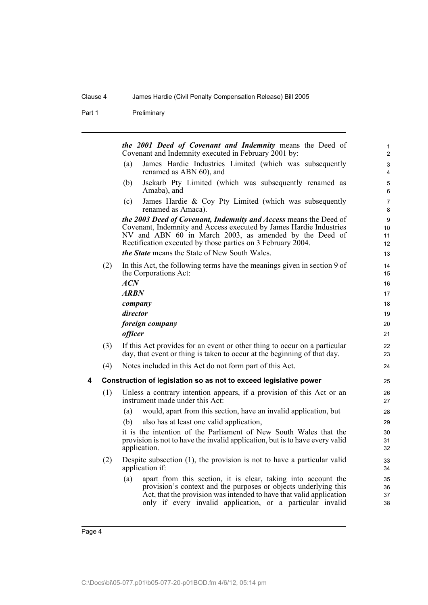Part 1 Preliminary

<span id="page-11-0"></span>*the 2001 Deed of Covenant and Indemnity* means the Deed of Covenant and Indemnity executed in February 2001 by: (a) James Hardie Industries Limited (which was subsequently renamed as ABN 60), and (b) Jsekarb Pty Limited (which was subsequently renamed as Amaba), and (c) James Hardie & Coy Pty Limited (which was subsequently renamed as Amaca). *the 2003 Deed of Covenant, Indemnity and Access* means the Deed of Covenant, Indemnity and Access executed by James Hardie Industries NV and ABN 60 in March 2003, as amended by the Deed of Rectification executed by those parties on 3 February 2004. *the State* means the State of New South Wales. (2) In this Act, the following terms have the meanings given in section 9 of the Corporations Act: *ACN ARBN company director foreign company officer* (3) If this Act provides for an event or other thing to occur on a particular day, that event or thing is taken to occur at the beginning of that day. (4) Notes included in this Act do not form part of this Act. **4 Construction of legislation so as not to exceed legislative power** (1) Unless a contrary intention appears, if a provision of this Act or an instrument made under this Act: (a) would, apart from this section, have an invalid application, but (b) also has at least one valid application, it is the intention of the Parliament of New South Wales that the provision is not to have the invalid application, but is to have every valid application. (2) Despite subsection (1), the provision is not to have a particular valid application if: (a) apart from this section, it is clear, taking into account the provision's context and the purposes or objects underlying this Act, that the provision was intended to have that valid application only if every invalid application, or a particular invalid 1 2 3 4 5 6 7 8 9 10 11 12 13 14 15 16 17 18 19  $20$ 21 22 23 24 25 26 27 28 29 30 31 32 33 34 35 36 37 38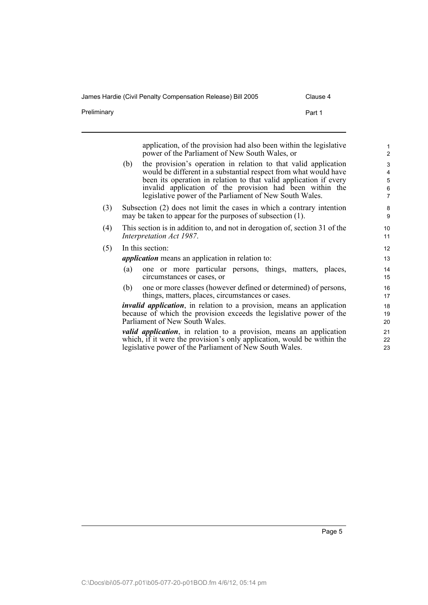James Hardie (Civil Penalty Compensation Release) Bill 2005 Clause 4

Preliminary **Preliminary** Part 1

|     |     | application, of the provision had also been within the legislative<br>power of the Parliament of New South Wales, or                                                                                                                                                                                                            | $\mathbf{1}$<br>$\overline{c}$     |
|-----|-----|---------------------------------------------------------------------------------------------------------------------------------------------------------------------------------------------------------------------------------------------------------------------------------------------------------------------------------|------------------------------------|
|     | (b) | the provision's operation in relation to that valid application<br>would be different in a substantial respect from what would have<br>been its operation in relation to that valid application if every<br>invalid application of the provision had been within the<br>legislative power of the Parliament of New South Wales. | 3<br>4<br>5<br>6<br>$\overline{7}$ |
| (3) |     | Subsection (2) does not limit the cases in which a contrary intention<br>may be taken to appear for the purposes of subsection (1).                                                                                                                                                                                             | 8<br>9                             |
| (4) |     | This section is in addition to, and not in derogation of, section 31 of the<br>Interpretation Act 1987.                                                                                                                                                                                                                         | 10<br>11                           |
| (5) |     | In this section:                                                                                                                                                                                                                                                                                                                | 12                                 |
|     |     | <i>application</i> means an application in relation to:                                                                                                                                                                                                                                                                         | 13                                 |
|     | (a) | one or more particular persons, things, matters, places,<br>circumstances or cases, or                                                                                                                                                                                                                                          | 14<br>15                           |
|     | (b) | one or more classes (however defined or determined) of persons,<br>things, matters, places, circumstances or cases.                                                                                                                                                                                                             | 16<br>17                           |
|     |     | <i>invalid application</i> , in relation to a provision, means an application<br>because of which the provision exceeds the legislative power of the<br>Parliament of New South Wales.                                                                                                                                          | 18<br>19<br>20                     |
|     |     | <i>valid application</i> , in relation to a provision, means an application<br>which, if it were the provision's only application, would be within the<br>legislative power of the Parliament of New South Wales.                                                                                                               | 21<br>22<br>23                     |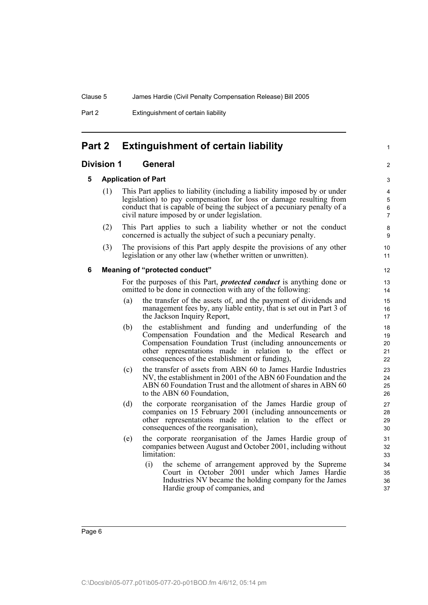Part 2 Extinguishment of certain liability

## <span id="page-13-0"></span>**Part 2 Extinguishment of certain liability**

### <span id="page-13-2"></span><span id="page-13-1"></span>**Division 1 General**

#### **5 Application of Part**

(1) This Part applies to liability (including a liability imposed by or under legislation) to pay compensation for loss or damage resulting from conduct that is capable of being the subject of a pecuniary penalty of a civil nature imposed by or under legislation.

1

 $\overline{2}$ 

- (2) This Part applies to such a liability whether or not the conduct concerned is actually the subject of such a pecuniary penalty.
- (3) The provisions of this Part apply despite the provisions of any other legislation or any other law (whether written or unwritten).

### <span id="page-13-3"></span>**6 Meaning of "protected conduct"**

For the purposes of this Part, *protected conduct* is anything done or omitted to be done in connection with any of the following:

- (a) the transfer of the assets of, and the payment of dividends and management fees by, any liable entity, that is set out in Part 3 of the Jackson Inquiry Report,
- (b) the establishment and funding and underfunding of the Compensation Foundation and the Medical Research and Compensation Foundation Trust (including announcements or other representations made in relation to the effect or consequences of the establishment or funding),
- (c) the transfer of assets from ABN 60 to James Hardie Industries NV, the establishment in 2001 of the ABN 60 Foundation and the ABN 60 Foundation Trust and the allotment of shares in ABN 60 to the ABN 60 Foundation,
- (d) the corporate reorganisation of the James Hardie group of companies on 15 February 2001 (including announcements or other representations made in relation to the effect or consequences of the reorganisation),
- (e) the corporate reorganisation of the James Hardie group of companies between August and October 2001, including without limitation:
	- (i) the scheme of arrangement approved by the Supreme Court in October 2001 under which James Hardie Industries NV became the holding company for the James Hardie group of companies, and

Page 6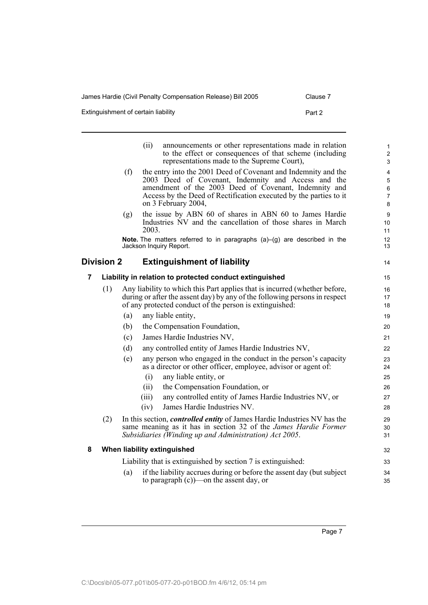James Hardie (Civil Penalty Compensation Release) Bill 2005 Clause 7

Extinguishment of certain liability extends the part 2 Part 2

<span id="page-14-1"></span><span id="page-14-0"></span>

|   |                   |     | announcements or other representations made in relation<br>(ii)<br>to the effect or consequences of that scheme (including<br>representations made to the Supreme Court),                                                                                                  | $\mathbf{1}$<br>2<br>3                                |
|---|-------------------|-----|----------------------------------------------------------------------------------------------------------------------------------------------------------------------------------------------------------------------------------------------------------------------------|-------------------------------------------------------|
|   |                   | (f) | the entry into the 2001 Deed of Covenant and Indemnity and the<br>2003 Deed of Covenant, Indemnity and Access and the<br>amendment of the 2003 Deed of Covenant, Indemnity and<br>Access by the Deed of Rectification executed by the parties to it<br>on 3 February 2004, | $\overline{4}$<br>5<br>6<br>$\overline{7}$<br>$\bf 8$ |
|   |                   | (g) | the issue by ABN 60 of shares in ABN 60 to James Hardie<br>Industries NV and the cancellation of those shares in March<br>2003.                                                                                                                                            | $\boldsymbol{9}$<br>10<br>11                          |
|   |                   |     | <b>Note.</b> The matters referred to in paragraphs $(a)$ - $(g)$ are described in the<br>Jackson Inquiry Report.                                                                                                                                                           | 12<br>13                                              |
|   | <b>Division 2</b> |     | <b>Extinguishment of liability</b>                                                                                                                                                                                                                                         | 14                                                    |
| 7 |                   |     | Liability in relation to protected conduct extinguished                                                                                                                                                                                                                    | 15                                                    |
|   | (1)               |     | Any liability to which this Part applies that is incurred (whether before,<br>during or after the assent day) by any of the following persons in respect<br>of any protected conduct of the person is extinguished:                                                        | 16<br>17<br>18                                        |
|   |                   | (a) | any liable entity,                                                                                                                                                                                                                                                         | 19                                                    |
|   |                   | (b) | the Compensation Foundation,                                                                                                                                                                                                                                               | 20                                                    |
|   |                   | (c) | James Hardie Industries NV,                                                                                                                                                                                                                                                | 21                                                    |
|   |                   | (d) | any controlled entity of James Hardie Industries NV,                                                                                                                                                                                                                       | 22                                                    |
|   |                   | (e) | any person who engaged in the conduct in the person's capacity<br>as a director or other officer, employee, advisor or agent of:                                                                                                                                           | 23<br>24                                              |
|   |                   |     | (i)<br>any liable entity, or                                                                                                                                                                                                                                               | 25                                                    |
|   |                   |     | (ii)<br>the Compensation Foundation, or                                                                                                                                                                                                                                    | 26                                                    |
|   |                   |     | (iii)<br>any controlled entity of James Hardie Industries NV, or                                                                                                                                                                                                           | 27                                                    |
|   |                   |     | James Hardie Industries NV.<br>(iv)                                                                                                                                                                                                                                        | 28                                                    |
|   | (2)               |     | In this section, <i>controlled entity</i> of James Hardie Industries NV has the<br>same meaning as it has in section 32 of the <i>James Hardie Former</i><br>Subsidiaries (Winding up and Administration) Act 2005.                                                        | 29<br>30<br>31                                        |
| 8 |                   |     | When liability extinguished                                                                                                                                                                                                                                                | 32                                                    |
|   |                   |     | Liability that is extinguished by section 7 is extinguished:                                                                                                                                                                                                               | 33                                                    |
|   |                   | (a) | if the liability accrues during or before the assent day (but subject<br>to paragraph $(c)$ —on the assent day, or                                                                                                                                                         | 34<br>35                                              |

<span id="page-14-2"></span>Page 7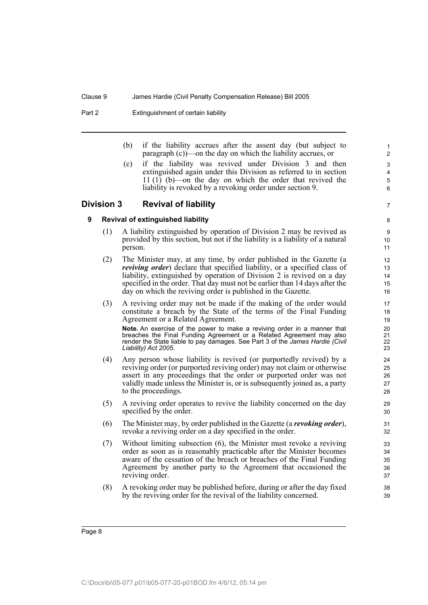Part 2 Extinguishment of certain liability

(b) if the liability accrues after the assent day (but subject to paragraph (c))—on the day on which the liability accrues, or

7

(c) if the liability was revived under Division 3 and then extinguished again under this Division as referred to in section 11 (1) (b)—on the day on which the order that revived the liability is revoked by a revoking order under section 9.

### <span id="page-15-1"></span><span id="page-15-0"></span>**Division 3 Revival of liability**

**9 Revival of extinguished liability**

- (1) A liability extinguished by operation of Division 2 may be revived as provided by this section, but not if the liability is a liability of a natural person.
- (2) The Minister may, at any time, by order published in the Gazette (a *reviving order*) declare that specified liability, or a specified class of liability, extinguished by operation of Division 2 is revived on a day specified in the order. That day must not be earlier than 14 days after the day on which the reviving order is published in the Gazette.
- (3) A reviving order may not be made if the making of the order would constitute a breach by the State of the terms of the Final Funding Agreement or a Related Agreement.

**Note.** An exercise of the power to make a reviving order in a manner that breaches the Final Funding Agreement or a Related Agreement may also render the State liable to pay damages. See Part 3 of the *James Hardie (Civil Liability) Act 2005*.

- (4) Any person whose liability is revived (or purportedly revived) by a reviving order (or purported reviving order) may not claim or otherwise assert in any proceedings that the order or purported order was not validly made unless the Minister is, or is subsequently joined as, a party to the proceedings.
- (5) A reviving order operates to revive the liability concerned on the day specified by the order.
- (6) The Minister may, by order published in the Gazette (a *revoking order*), revoke a reviving order on a day specified in the order.
- (7) Without limiting subsection (6), the Minister must revoke a reviving order as soon as is reasonably practicable after the Minister becomes aware of the cessation of the breach or breaches of the Final Funding Agreement by another party to the Agreement that occasioned the reviving order.
- (8) A revoking order may be published before, during or after the day fixed by the reviving order for the revival of the liability concerned.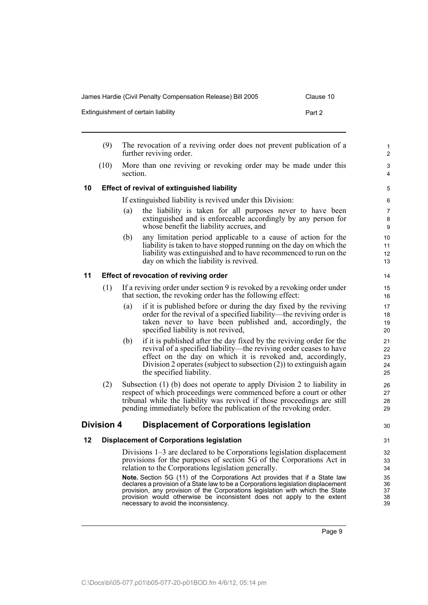declares a provision of a State law to be a Corporations legislation displacement provision, any provision of the Corporations legislation with which the State provision would otherwise be inconsistent does not apply to the extent

### James Hardie (Civil Penalty Compensation Release) Bill 2005 Clause 10

- (9) The revocation of a reviving order does not prevent publication of a further reviving order.
- (10) More than one reviving or revoking order may be made under this section.

### <span id="page-16-0"></span>**10 Effect of revival of extinguished liability**

If extinguished liability is revived under this Division:

- (a) the liability is taken for all purposes never to have been extinguished and is enforceable accordingly by any person for whose benefit the liability accrues, and
- (b) any limitation period applicable to a cause of action for the liability is taken to have stopped running on the day on which the liability was extinguished and to have recommenced to run on the day on which the liability is revived.

### <span id="page-16-1"></span>**11 Effect of revocation of reviving order**

- (1) If a reviving order under section 9 is revoked by a revoking order under that section, the revoking order has the following effect:
	- (a) if it is published before or during the day fixed by the reviving order for the revival of a specified liability—the reviving order is taken never to have been published and, accordingly, the specified liability is not revived,
	- (b) if it is published after the day fixed by the reviving order for the revival of a specified liability—the reviving order ceases to have effect on the day on which it is revoked and, accordingly, Division 2 operates (subject to subsection (2)) to extinguish again the specified liability.
- (2) Subsection (1) (b) does not operate to apply Division 2 to liability in respect of which proceedings were commenced before a court or other tribunal while the liability was revived if those proceedings are still pending immediately before the publication of the revoking order.

### <span id="page-16-2"></span>**Division 4 Displacement of Corporations legislation**

### <span id="page-16-3"></span>**12 Displacement of Corporations legislation**

Divisions 1–3 are declared to be Corporations legislation displacement provisions for the purposes of section 5G of the Corporations Act in relation to the Corporations legislation generally.

**Note.** Section 5G (11) of the Corporations Act provides that if a State law necessary to avoid the inconsistency.

- Extinguishment of certain liability extended a set of the Part 2
- 

30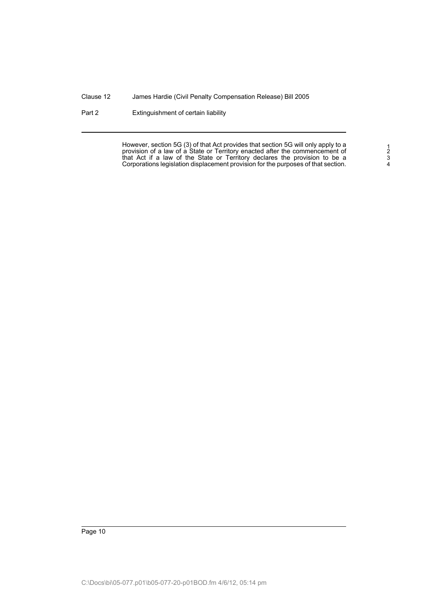Part 2 Extinguishment of certain liability

However, section 5G (3) of that Act provides that section 5G will only apply to a provision of a law of a State or Territory enacted after the commencement of that Act if a law of the State or Territory declares the provision to be a Corporations legislation displacement provision for the purposes of that section.